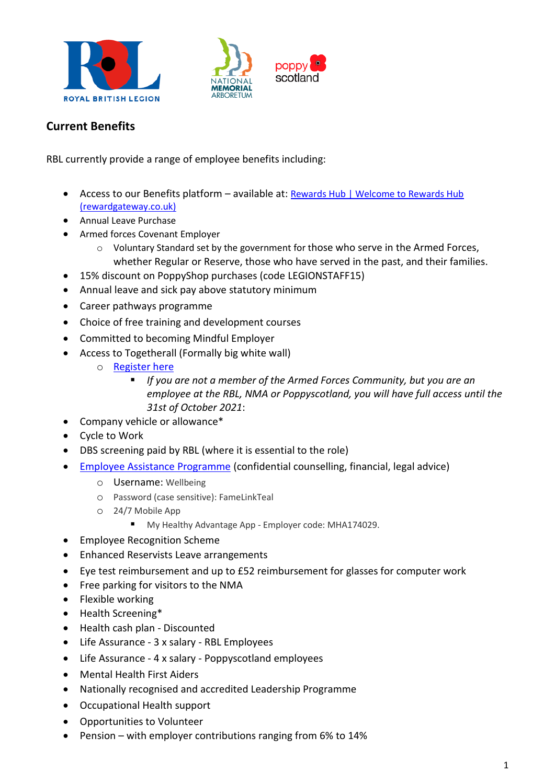





## **Current Benefits**

RBL currently provide a range of employee benefits including:

- Access to our Benefits platform available at: [Rewards Hub | Welcome to Rewards Hub](https://theroyalbritishlegion.rewardgateway.co.uk/SmartHub)  [\(rewardgateway.co.uk\)](https://theroyalbritishlegion.rewardgateway.co.uk/SmartHub)
- Annual Leave Purchase
- Armed forces Covenant Employer
	- $\circ$  Voluntary Standard set by the government for those who serve in the Armed Forces, whether Regular or Reserve, those who have served in the past, and their families.
- 15% discount on PoppyShop purchases (code LEGIONSTAFF15)
- Annual leave and sick pay above statutory minimum
- Career pathways programme
- Choice of free training and development courses
- Committed to becoming Mindful Employer
- Access to Togetherall (Formally big white wall)
	- o [Register here](https://account.v2.togetherall.com/join/ck9mkljh0r0l00760odq14u40)
		- *If you are not a member of the Armed Forces Community, but you are an employee at the RBL, NMA or Poppyscotland, you will have full access until the 31st of October 2021*:
- Company vehicle or allowance\*
- Cycle to Work
- DBS screening paid by RBL (where it is essential to the role)
- [Employee Assistance Programme](https://healthassuredeap.co.uk/) (confidential counselling, financial, legal advice)
	- o Username: Wellbeing
	- o Password (case sensitive): FameLinkTeal
	- o 24/7 Mobile App
		- My Healthy Advantage App Employer code: MHA174029.
- Employee Recognition Scheme
- Enhanced Reservists Leave arrangements
- Eye test reimbursement and up to £52 reimbursement for glasses for computer work
- Free parking for visitors to the NMA
- Flexible working
- Health Screening\*
- Health cash plan Discounted
- Life Assurance 3 x salary RBL Employees
- Life Assurance 4 x salary Poppyscotland employees
- Mental Health First Aiders
- Nationally recognised and accredited Leadership Programme
- Occupational Health support
- Opportunities to Volunteer
- Pension with employer contributions ranging from 6% to 14%